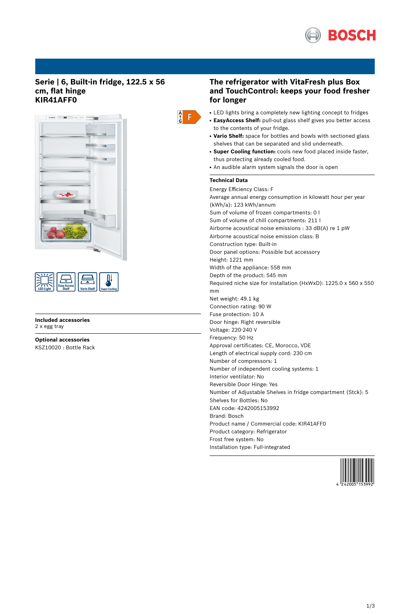

## **Serie | 6, Built-in fridge, 122.5 x 56 cm, flat hinge KIR41AFF0**





**Included accessories** 2 x egg tray

**Optional accessories** KSZ10020 : Bottle Rack



# **The refrigerator with VitaFresh plus Box and TouchControl: keeps your food fresher for longer**

- LED lights bring a completely new lighting concept to fridges
- **EasyAccess Shelf:** pull-out glass shelf gives you better access to the contents of your fridge.
- Vario Shelf: space for bottles and bowls with sectioned glass shelves that can be separated and slid underneath.
- **Super Cooling function:** cools new food placed inside faster, thus protecting already cooled food.
- An audible alarm system signals the door is open

# **Technical Data**

Energy Efficiency Class: F Average annual energy consumption in kilowatt hour per year (kWh/a): 123 kWh/annum Sum of volume of frozen compartments: 0 l Sum of volume of chill compartments: 211 l Airborne acoustical noise emissions : 33 dB(A) re 1 pW Airborne acoustical noise emission class: B Construction type: Built-in Door panel options: Possible but accessory Height: 1221 mm Width of the appliance: 558 mm Depth of the product: 545 mm Required niche size for installation (HxWxD): 1225.0 x 560 x 550 mm Net weight: 49.1 kg Connection rating: 90 W Fuse protection: 10 A Door hinge: Right reversible Voltage: 220-240 V Frequency: 50 Hz Approval certificates: CE, Morocco, VDE Length of electrical supply cord: 230 cm Number of compressors: 1 Number of independent cooling systems: 1 Interior ventilator: No Reversible Door Hinge: Yes Number of Adjustable Shelves in fridge compartment (Stck): 5 Shelves for Bottles: No EAN code: 4242005153992 Brand: Bosch Product name / Commercial code: KIR41AFF0 Product category: Refrigerator Frost free system: No Installation type: Full-integrated

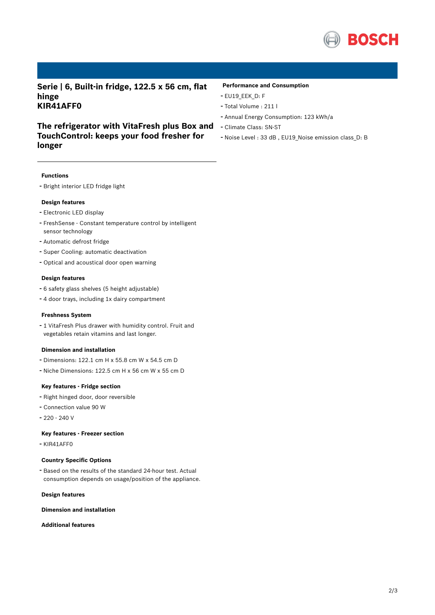

**Serie | 6, Built-in fridge, 122.5 x 56 cm, flat hinge KIR41AFF0**

**The refrigerator with VitaFresh plus Box and**

### **Performance and Consumption**

- EU19\_EEK\_D: F
- Total Volume : <sup>211</sup> <sup>l</sup>
- Annual Energy Consumption: <sup>123</sup> kWh/a
- Climate Class: SN-ST
- Noise Level : <sup>33</sup> dB , EU19\_Noise emission class\_D: <sup>B</sup>

**TouchControl: keeps your food fresher for longer**

#### **Functions**

- Bright interior LED fridge light

#### **Design features**

- Electronic LED display
- FreshSense Constant temperature control by intelligent sensor technology
- Automatic defrost fridge
- Super Cooling: automatic deactivation
- Optical and acoustical door open warning

#### **Design features**

- <sup>6</sup> safety glass shelves (5 height adjustable)
- <sup>4</sup> door trays, including 1x dairy compartment

#### **Freshness System**

- <sup>1</sup> VitaFresh Plus drawer with humidity control. Fruit and vegetables retain vitamins and last longer.

#### **Dimension and installation**

- Dimensions: 122.1 cm H x 55.8 cm W x 54.5 cm D
- Niche Dimensions: 122.5 cm <sup>H</sup> <sup>x</sup> <sup>56</sup> cm <sup>W</sup> <sup>x</sup> <sup>55</sup> cm <sup>D</sup>

## **Key features - Fridge section**

- Right hinged door, door reversible
- Connection value <sup>90</sup> <sup>W</sup>
- 220 240 V

#### **Key features - Freezer section**

- KIR41AFF0

## **Country Specific Options**

- Based on the results of the standard 24-hour test. Actual consumption depends on usage/position of the appliance.

## **Design features**

#### **Dimension and installation**

**Additional features**